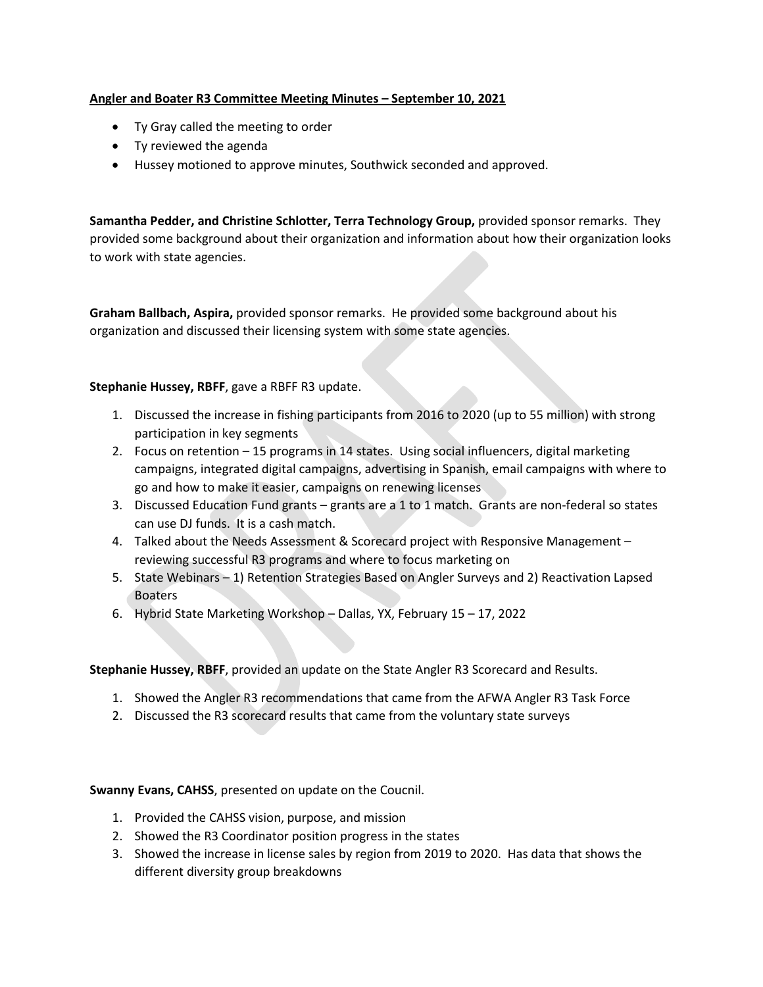## **Angler and Boater R3 Committee Meeting Minutes – September 10, 2021**

- Ty Gray called the meeting to order
- Ty reviewed the agenda
- Hussey motioned to approve minutes, Southwick seconded and approved.

**Samantha Pedder, and Christine Schlotter, Terra Technology Group,** provided sponsor remarks. They provided some background about their organization and information about how their organization looks to work with state agencies.

**Graham Ballbach, Aspira,** provided sponsor remarks. He provided some background about his organization and discussed their licensing system with some state agencies.

## **Stephanie Hussey, RBFF**, gave a RBFF R3 update.

- 1. Discussed the increase in fishing participants from 2016 to 2020 (up to 55 million) with strong participation in key segments
- 2. Focus on retention 15 programs in 14 states. Using social influencers, digital marketing campaigns, integrated digital campaigns, advertising in Spanish, email campaigns with where to go and how to make it easier, campaigns on renewing licenses
- 3. Discussed Education Fund grants grants are a 1 to 1 match. Grants are non-federal so states can use DJ funds. It is a cash match.
- 4. Talked about the Needs Assessment & Scorecard project with Responsive Management reviewing successful R3 programs and where to focus marketing on
- 5. State Webinars 1) Retention Strategies Based on Angler Surveys and 2) Reactivation Lapsed Boaters
- 6. Hybrid State Marketing Workshop Dallas, YX, February 15 17, 2022

**Stephanie Hussey, RBFF**, provided an update on the State Angler R3 Scorecard and Results.

- 1. Showed the Angler R3 recommendations that came from the AFWA Angler R3 Task Force
- 2. Discussed the R3 scorecard results that came from the voluntary state surveys

**Swanny Evans, CAHSS**, presented on update on the Coucnil.

- 1. Provided the CAHSS vision, purpose, and mission
- 2. Showed the R3 Coordinator position progress in the states
- 3. Showed the increase in license sales by region from 2019 to 2020. Has data that shows the different diversity group breakdowns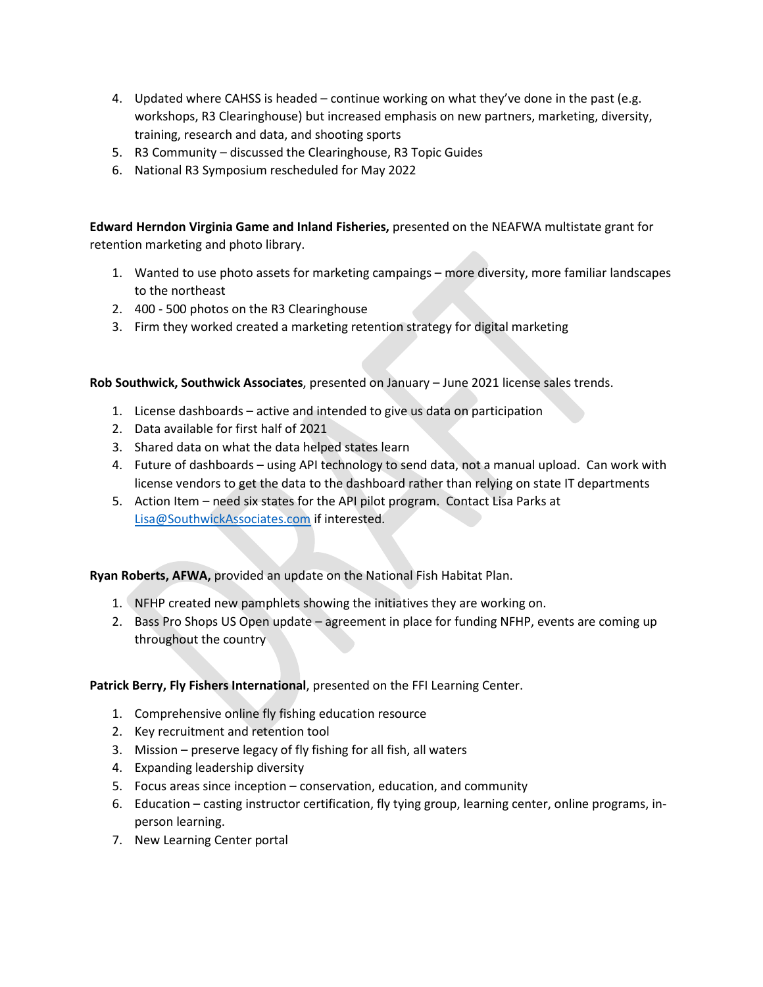- 4. Updated where CAHSS is headed continue working on what they've done in the past (e.g. workshops, R3 Clearinghouse) but increased emphasis on new partners, marketing, diversity, training, research and data, and shooting sports
- 5. R3 Community discussed the Clearinghouse, R3 Topic Guides
- 6. National R3 Symposium rescheduled for May 2022

**Edward Herndon Virginia Game and Inland Fisheries,** presented on the NEAFWA multistate grant for retention marketing and photo library.

- 1. Wanted to use photo assets for marketing campaings more diversity, more familiar landscapes to the northeast
- 2. 400 500 photos on the R3 Clearinghouse
- 3. Firm they worked created a marketing retention strategy for digital marketing

**Rob Southwick, Southwick Associates**, presented on January – June 2021 license sales trends.

- 1. License dashboards active and intended to give us data on participation
- 2. Data available for first half of 2021
- 3. Shared data on what the data helped states learn
- 4. Future of dashboards using API technology to send data, not a manual upload. Can work with license vendors to get the data to the dashboard rather than relying on state IT departments
- 5. Action Item need six states for the API pilot program. Contact Lisa Parks at [Lisa@SouthwickAssociates.com](mailto:Lisa@SouthwickAssociates.com) if interested.

**Ryan Roberts, AFWA,** provided an update on the National Fish Habitat Plan.

- 1. NFHP created new pamphlets showing the initiatives they are working on.
- 2. Bass Pro Shops US Open update agreement in place for funding NFHP, events are coming up throughout the country

## **Patrick Berry, Fly Fishers International**, presented on the FFI Learning Center.

- 1. Comprehensive online fly fishing education resource
- 2. Key recruitment and retention tool
- 3. Mission preserve legacy of fly fishing for all fish, all waters
- 4. Expanding leadership diversity
- 5. Focus areas since inception conservation, education, and community
- 6. Education casting instructor certification, fly tying group, learning center, online programs, inperson learning.
- 7. New Learning Center portal